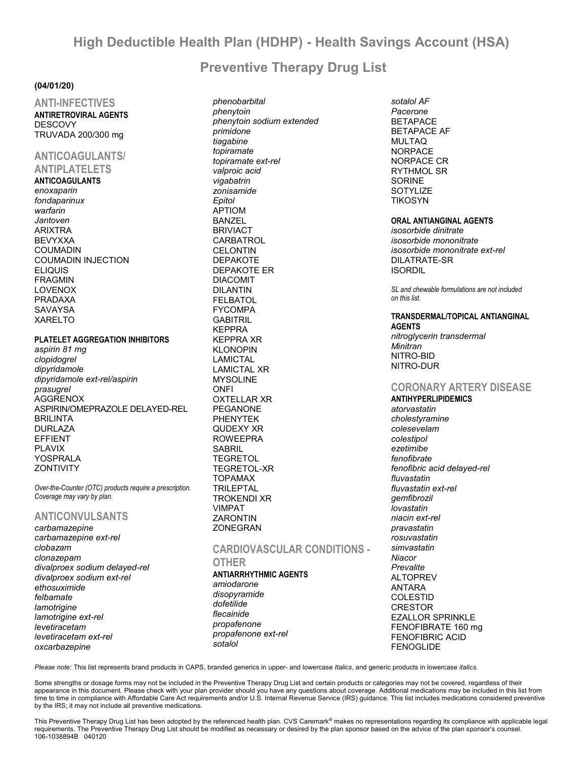# **High Deductible Health Plan (HDHP) - Health Savings Account (HSA)**

# **Preventive Therapy Drug List**

## **(04/01/20)**

**ANTI-INFECTIVES ANTIRETROVIRAL AGENTS DESCOVY** TRUVADA 200/300 mg

## **ANTICOAGULANTS/ ANTIPLATELETS**

#### **ANTICOAGULANTS**

*enoxaparin fondaparinux warfarin Jantoven* ARIXTRA BEVYXXA COUMADIN COUMADIN INJECTION ELIQUIS FRAGMIN LOVENOX PRADAXA **SAVAYSA** XARELTO

## **PLATELET AGGREGATION INHIBITORS**

*aspirin 81 mg clopidogrel dipyridamole dipyridamole ext-rel/aspirin prasugrel* AGGRENOX ASPIRIN/OMEPRAZOLE DELAYED-REL **BRILINTA** DURLAZA EFFIENT PLAVIX YOSPRALA **ZONTIVITY** 

*Over-the-Counter (OTC) products require a prescription. Coverage may vary by plan.*

## **ANTICONVULSANTS**

*carbamazepine carbamazepine ext-rel clobazam clonazepam divalproex sodium delayed-rel divalproex sodium ext-rel ethosuximide felbamate lamotrigine lamotrigine ext-rel levetiracetam levetiracetam ext-rel oxcarbazepine*

*phenobarbital phenytoin phenytoin sodium extended primidone tiagabine topiramate topiramate ext-rel valproic acid vigabatrin zonisamide Epitol* APTIOM BANZEL BRIVIACT **CARBATROL CELONTIN** DEPAKOTE DEPAKOTE ER DIACOMIT DILANTIN FELBATOL FYCOMPA GABITRIL KEPPRA KEPPRA XR KLONOPIN LAMICTAL LAMICTAL XR MYSOLINE **ONFI** OXTELLAR XR PEGANONE PHENYTEK QUDEXY XR ROWEEPRA **SABRIL TEGRETOL** TEGRETOL-XR TOPAMAX TRILEPTAL TROKENDI XR VIMPAT **ZARONTIN** ZONEGRAN

# **CARDIOVASCULAR CONDITIONS -**

#### **OTHER ANTIARRHYTHMIC AGENTS** *amiodarone disopyramide dofetilide flecainide propafenone propafenone ext-rel*

*sotalol AF Pacerone* BETAPACE BETAPACE AF MULTAQ **NORPACE** NORPACE CR RYTHMOL SR SORINE SOTYLIZE TIKOSYN

### **ORAL ANTIANGINAL AGENTS**

*isosorbide dinitrate isosorbide mononitrate isosorbide mononitrate ext-rel* DILATRATE-SR **ISORDIL** 

*SL and chewable formulations are not included on this list.*

**TRANSDERMAL/TOPICAL ANTIANGINAL AGENTS** *nitroglycerin transdermal Minitran* NITRO-BID NITRO-DUR

# **CORONARY ARTERY DISEASE**

**ANTIHYPERLIPIDEMICS** *atorvastatin cholestyramine colesevelam colestipol ezetimibe fenofibrate fenofibric acid delayed-rel fluvastatin fluvastatin ext-rel gemfibrozil lovastatin niacin ext-rel pravastatin rosuvastatin simvastatin Niacor Prevalite* **ALTOPREV** ANTARA COLESTID CRESTOR EZALLOR SPRINKLE FENOFIBRATE 160 mg FENOFIBRIC ACID FENOGLIDE

*Please note:* This list represents brand products in CAPS, branded generics in upper- and lowercase *Italics*, and generic products in lowercase *italics*.

*sotalol*

Some strengths or dosage forms may not be included in the Preventive Therapy Drug List and certain products or categories may not be covered, regardless of their appearance in this document. Please check with your plan provider should you have any questions about coverage. Additional medications may be included in this list from time to time in compliance with Affordable Care Act requirements and/or U.S. Internal Revenue Service (IRS) guidance. This list includes medications considered preventive by the IRS; it may not include all preventive medications.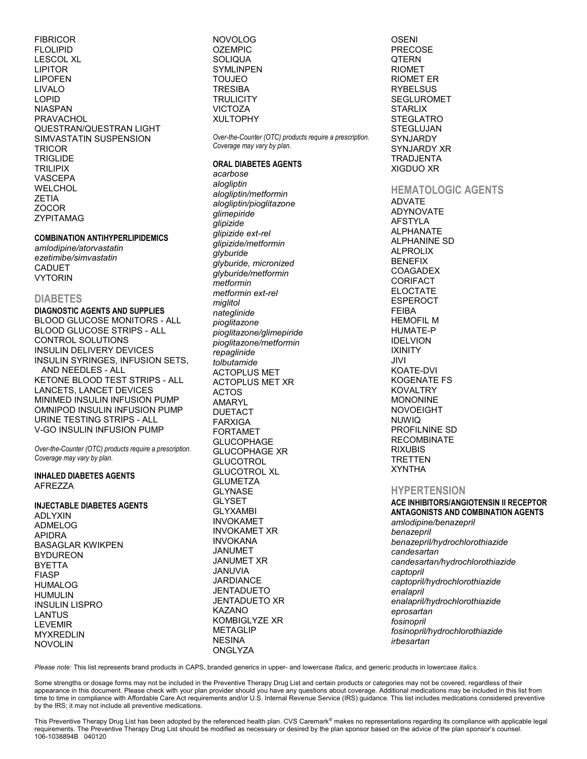FIBRICOR FLOLIPID LESCOL XL LIPITOR LIPOFEN LIVALO LOPID NIASPAN **PRAVACHOL** QUESTRAN/QUESTRAN LIGHT SIMVASTATIN SUSPENSION **TRICOR TRIGLIDE** TRILIPIX VASCEPA WELCHOL ZETIA ZOCOR ZYPITAMAG

#### **COMBINATION ANTIHYPERLIPIDEMICS**

*amlodipine/atorvastatin ezetimibe/simvastatin* CADUET VYTORIN

#### **DIABETES**

**DIAGNOSTIC AGENTS AND SUPPLIES** BLOOD GLUCOSE MONITORS - ALL BLOOD GLUCOSE STRIPS - ALL CONTROL SOLUTIONS INSULIN DELIVERY DEVICES INSULIN SYRINGES, INFUSION SETS, AND NEEDLES - ALL KETONE BLOOD TEST STRIPS - ALL LANCETS, LANCET DEVICES MINIMED INSULIN INFUSION PUMP OMNIPOD INSULIN INFUSION PUMP URINE TESTING STRIPS - ALL V-GO INSULIN INFUSION PUMP

*Over-the-Counter (OTC) products require a prescription. Coverage may vary by plan.*

#### **INHALED DIABETES AGENTS** AFREZZA

#### **INJECTABLE DIABETES AGENTS**

ADLYXIN ADMELOG APIDRA BASAGLAR KWIKPEN BYDUREON BYETTA FIASP HUMALOG HUMULIN INSULIN LISPRO LANTUS LEVEMIR MYXREDLIN NOVOLIN

NOVOLOG **OZEMPIC SOLIQUA SYMLINPEN** TOUJEO TRESIBA **TRULICITY** VICTOZA XULTOPHY

*Over-the-Counter (OTC) products require a prescription. Coverage may vary by plan.*

#### **ORAL DIABETES AGENTS**

*acarbose alogliptin alogliptin/metformin alogliptin/pioglitazone glimepiride glipizide glipizide ext-rel glipizide/metformin glyburide glyburide, micronized glyburide/metformin metformin metformin ext-rel miglitol nateglinide pioglitazone pioglitazone/glimepiride pioglitazone/metformin repaglinide tolbutamide* ACTOPLUS MET ACTOPLUS MET XR ACTOS AMARYL DUETACT FARXIGA FORTAMET GLUCOPHAGE GLUCOPHAGE XR **GLUCOTROL** GLUCOTROL XL **GLUMETZA** GLYNASE GLYSET GLYXAMBI INVOKAMET INVOKAMET XR INVOKANA JANUMET JANUMET XR JANUVIA **JARDIANCE** JENTADUETO JENTADUETO XR KAZANO KOMBIGLYZE XR METAGLIP NESINA **ONGLYZA** 

OSENI PRECOSE **QTERN** RIOMET RIOMET ER **RYBELSUS** SEGLUROMET **STARLIX** STEGLATRO STEGLUJAN SYNJARDY SYNJARDY XR TRADJENTA XIGDUO XR

# **HEMATOLOGIC AGENTS**

ADVATE ADYNOVATE AFSTYLA ALPHANATE ALPHANINE SD ALPROLIX BENEFIX COAGADEX CORIFACT ELOCTATE ESPEROCT FEIBA HEMOFIL M HUMATE-P IDELVION IXINITY JIVI KOATE-DVI KOGENATE FS KOVALTRY MONONINE NOVOEIGHT NUWIQ PROFILNINE SD **RECOMBINATE** RIXUBIS TRETTEN XYNTHA

## **HYPERTENSION**

**ACE INHIBITORS/ANGIOTENSIN II RECEPTOR ANTAGONISTS AND COMBINATION AGENTS** *amlodipine/benazepril benazepril benazepril/hydrochlorothiazide candesartan candesartan/hydrochlorothiazide captopril captopril/hydrochlorothiazide enalapril enalapril/hydrochlorothiazide eprosartan fosinopril fosinopril/hydrochlorothiazide irbesartan*

*Please note:* This list represents brand products in CAPS, branded generics in upper- and lowercase *Italics*, and generic products in lowercase *italics*.

Some strengths or dosage forms may not be included in the Preventive Therapy Drug List and certain products or categories may not be covered, regardless of their appearance in this document. Please check with your plan provider should you have any questions about coverage. Additional medications may be included in this list from time to time in compliance with Affordable Care Act requirements and/or U.S. Internal Revenue Service (IRS) guidance. This list includes medications considered preventive by the IRS; it may not include all preventive medications.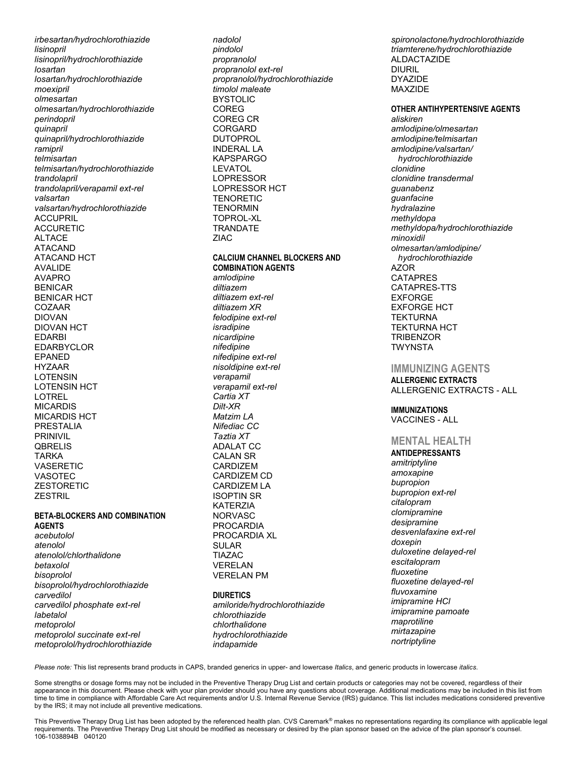*irbesartan/hydrochlorothiazide lisinopril lisinopril/hydrochlorothiazide losartan losartan/hydrochlorothiazide moexipril olmesartan olmesartan/hydrochlorothiazide perindopril quinapril quinapril/hydrochlorothiazide ramipril telmisartan telmisartan/hydrochlorothiazide trandolapril trandolapril/verapamil ext-rel valsartan valsartan/hydrochlorothiazide* ACCUPRIL ACCURETIC ALTACE ATACAND ATACAND HCT AVALIDE AVAPRO BENICAR BENICAR HCT COZAAR DIOVAN DIOVAN HCT EDARBI EDARBYCLOR EPANED HYZAAR LOTENSIN LOTENSIN HCT LOTREL MICARDIS MICARDIS HCT PRESTALIA PRINIVIL **QBRELIS** TARKA **VASERETIC** VASOTEC **ZESTORETIC ZESTRIL** 

#### **BETA-BLOCKERS AND COMBINATION AGENTS**

*acebutolol atenolol atenolol/chlorthalidone betaxolol bisoprolol bisoprolol/hydrochlorothiazide carvedilol carvedilol phosphate ext-rel labetalol metoprolol metoprolol succinate ext-rel metoprolol/hydrochlorothiazide*

*nadolol pindolol propranolol propranolol ext-rel propranolol/hydrochlorothiazide timolol maleate* BYSTOLIC COREG COREG CR CORGARD DUTOPROL INDERAL LA KAPSPARGO LEVATOL LOPRESSOR LOPRESSOR HCT **TENORETIC TFNORMIN** TOPROL-XL **TRANDATE** ZIAC **CALCIUM CHANNEL BLOCKERS AND COMBINATION AGENTS** *amlodipine diltiazem diltiazem ext-rel diltiazem XR felodipine ext-rel isradipine nicardipine nifedipine nifedipine ext-rel nisoldipine ext-rel verapamil verapamil ext-rel Cartia XT Dilt-XR Matzim LA Nifediac CC Taztia XT* ADALAT CC CALAN SR CARDIZEM CARDIZEM CD CARDIZEM LA ISOPTIN SR KATERZIA NORVASC PROCARDIA PROCARDIA XL SULAR TIAZAC VERELAN VERELAN PM **DIURETICS** *amiloride/hydrochlorothiazide*

*chlorothiazide chlorthalidone hydrochlorothiazide indapamide*

*spironolactone/hydrochlorothiazide triamterene/hydrochlorothiazide* ALDACTAZIDE DIURIL DYAZIDE MAXZIDE

**OTHER ANTIHYPERTENSIVE AGENTS** *aliskiren amlodipine/olmesartan amlodipine/telmisartan amlodipine/valsartan/ hydrochlorothiazide clonidine clonidine transdermal guanabenz guanfacine hydralazine methyldopa methyldopa/hydrochlorothiazide minoxidil olmesartan/amlodipine/ hydrochlorothiazide* AZOR CATAPRES CATAPRES-TTS EXFORGE EXFORGE HCT **TEKTURNA** TEKTURNA HCT **TRIBENZOR TWYNSTA** 

## **IMMUNIZING AGENTS**

**ALLERGENIC EXTRACTS** ALLERGENIC EXTRACTS - ALL

#### **IMMUNIZATIONS** VACCINES - ALL

## **MENTAL HEALTH**

**ANTIDEPRESSANTS** *amitriptyline amoxapine bupropion bupropion ext-rel citalopram clomipramine desipramine desvenlafaxine ext-rel doxepin duloxetine delayed-rel escitalopram fluoxetine fluoxetine delayed-rel fluvoxamine imipramine HCl imipramine pamoate maprotiline mirtazapine nortriptyline*

*Please note:* This list represents brand products in CAPS, branded generics in upper- and lowercase *Italics*, and generic products in lowercase *italics*.

Some strengths or dosage forms may not be included in the Preventive Therapy Drug List and certain products or categories may not be covered, regardless of their appearance in this document. Please check with your plan provider should you have any questions about coverage. Additional medications may be included in this list from time to time in compliance with Affordable Care Act requirements and/or U.S. Internal Revenue Service (IRS) guidance. This list includes medications considered preventive by the IRS; it may not include all preventive medications.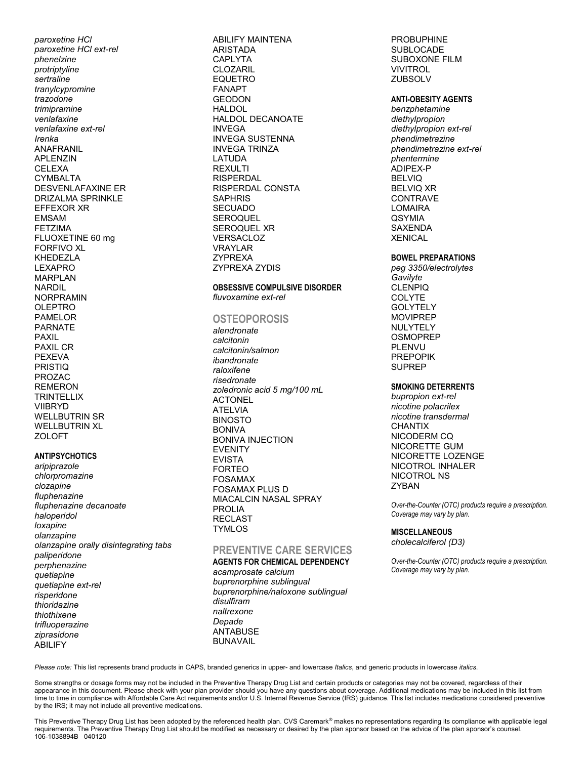*paroxetine HCl paroxetine HCl ext-rel phenelzine protriptyline sertraline tranylcypromine trazodone trimipramine venlafaxine venlafaxine ext-rel Irenka* ANAFRANIL APLENZIN **CELEXA** CYMBALTA DESVENLAFAXINE ER DRIZALMA SPRINKLE EFFEXOR XR EMSAM FETZIMA FLUOXETINE 60 mg FORFIVO XL KHEDEZLA LEXAPRO MARPLAN NARDIL NORPRAMIN **OLEPTRO** PAMELOR PARNATE PAXIL PAXIL CR PEXEVA **PRISTIQ** PROZAC REMERON **TRINTELLIX** VIIBRYD WELLBUTRIN SR WELLBUTRIN XL **ZOLOFT** 

#### **ANTIPSYCHOTICS**

*aripiprazole chlorpromazine clozapine fluphenazine fluphenazine decanoate haloperidol loxapine olanzapine olanzapine orally disintegrating tabs paliperidone perphenazine quetiapine quetiapine ext-rel risperidone thioridazine thiothixene trifluoperazine ziprasidone* ABILIFY

ABILIFY MAINTENA **ARISTADA** CAPLYTA CLOZARIL EQUETRO FANAPT **GEODON HALDOL** HALDOL DECANOATE INVEGA INVEGA SUSTENNA INVEGA TRINZA LATUDA REXULTI RISPERDAL RISPERDAL CONSTA **SAPHRIS SECUADO SEROQUEL** SEROQUEL XR VERSACLOZ VRAYLAR ZYPREXA ZYPREXA ZYDIS

#### **OBSESSIVE COMPULSIVE DISORDER** *fluvoxamine ext-rel*

# **OSTEOPOROSIS**

*alendronate calcitonin calcitonin/salmon ibandronate raloxifene risedronate zoledronic acid 5 mg/100 mL* **ACTONEL** ATELVIA BINOSTO BONIVA BONIVA INJECTION EVENITY EVISTA FORTEO FOSAMAX FOSAMAX PLUS D MIACALCIN NASAL SPRAY PROLIA RECLAST **TYMLOS** 

# **PREVENTIVE CARE SERVICES**

**AGENTS FOR CHEMICAL DEPENDENCY** *acamprosate calcium buprenorphine sublingual buprenorphine/naloxone sublingual disulfiram naltrexone Depade* ANTABUSE BUNAVAIL

PROBUPHINE **SUBLOCADE** SUBOXONE FILM VIVITROL **ZUBSOLV** 

#### **ANTI-OBESITY AGENTS**

*benzphetamine diethylpropion diethylpropion ext-rel phendimetrazine phendimetrazine ext-rel phentermine* ADIPEX-P BELVIQ BELVIQ XR **CONTRAVE** LOMAIRA **QSYMIA** SAXENDA **XENICAL** 

#### **BOWEL PREPARATIONS**

*peg 3350/electrolytes Gavilyte* CLENPIQ **COLYTE GOLYTELY** MOVIPREP NULYTELY **OSMOPREP** PLENVU PREPOPIK SUPREP

#### **SMOKING DETERRENTS**

*bupropion ext-rel nicotine polacrilex nicotine transdermal* **CHANTIX** NICODERM CQ NICORETTE GUM NICORETTE LOZENGE NICOTROL INHALER NICOTROL NS **ZYBAN** 

*Over-the-Counter (OTC) products require a prescription. Coverage may vary by plan.*

#### **MISCELLANEOUS** *cholecalciferol (D3)*

*Over-the-Counter (OTC) products require a prescription. Coverage may vary by plan.*

*Please note:* This list represents brand products in CAPS, branded generics in upper- and lowercase *Italics*, and generic products in lowercase *italics*.

Some strengths or dosage forms may not be included in the Preventive Therapy Drug List and certain products or categories may not be covered, regardless of their appearance in this document. Please check with your plan provider should you have any questions about coverage. Additional medications may be included in this list from time to time in compliance with Affordable Care Act requirements and/or U.S. Internal Revenue Service (IRS) guidance. This list includes medications considered preventive by the IRS; it may not include all preventive medications.